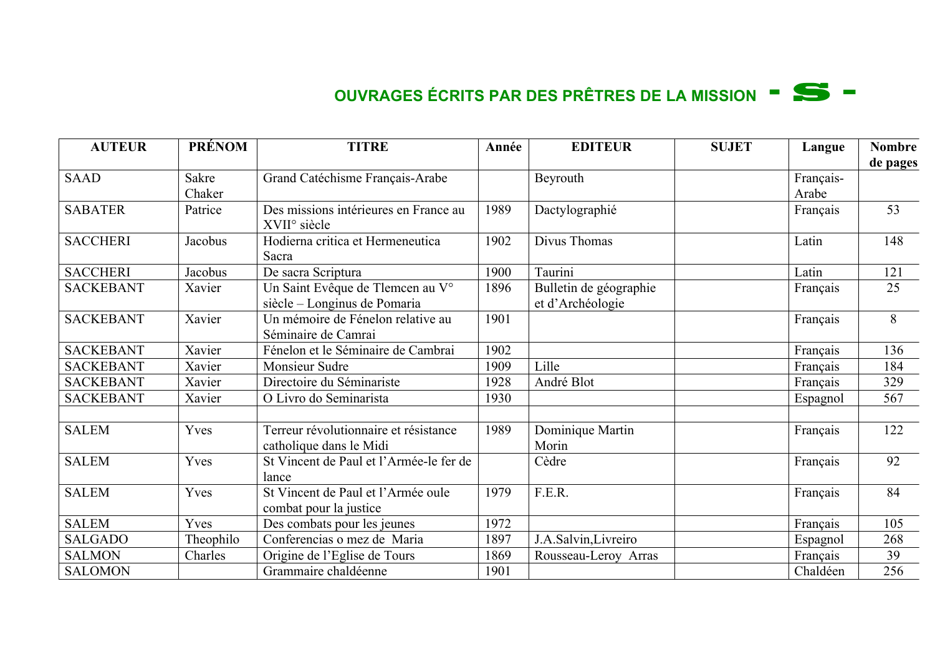## **OUVRAGES ÉCRITS PAR DES PRÊTRES DE LA MISSION - S –**

| <b>AUTEUR</b>    | <b>PRÉNOM</b> | <b>TITRE</b>                                                      | Année | <b>EDITEUR</b>                             | <b>SUJET</b> | Langue    | <b>Nombre</b><br>de pages |
|------------------|---------------|-------------------------------------------------------------------|-------|--------------------------------------------|--------------|-----------|---------------------------|
| <b>SAAD</b>      | Sakre         | Grand Catéchisme Français-Arabe                                   |       | Beyrouth                                   |              | Français- |                           |
|                  | Chaker        |                                                                   |       |                                            |              | Arabe     |                           |
| <b>SABATER</b>   | Patrice       | Des missions intérieures en France au<br>XVII <sup>°</sup> siècle | 1989  | Dactylographié                             |              | Français  | 53                        |
| <b>SACCHERI</b>  | Jacobus       | Hodierna critica et Hermeneutica<br>Sacra                         | 1902  | Divus Thomas                               |              | Latin     | 148                       |
| <b>SACCHERI</b>  | Jacobus       | De sacra Scriptura                                                | 1900  | Taurini                                    |              | Latin     | 121                       |
| <b>SACKEBANT</b> | Xavier        | Un Saint Evêque de Tlemcen au V°<br>siècle – Longinus de Pomaria  | 1896  | Bulletin de géographie<br>et d'Archéologie |              | Français  | 25                        |
| <b>SACKEBANT</b> | Xavier        | Un mémoire de Fénelon relative au<br>Séminaire de Camrai          | 1901  |                                            |              | Français  | 8                         |
| <b>SACKEBANT</b> | Xavier        | Fénelon et le Séminaire de Cambrai                                | 1902  |                                            |              | Français  | 136                       |
| <b>SACKEBANT</b> | Xavier        | Monsieur Sudre                                                    | 1909  | Lille                                      |              | Français  | 184                       |
| <b>SACKEBANT</b> | Xavier        | Directoire du Séminariste                                         | 1928  | André Blot                                 |              | Français  | 329                       |
| <b>SACKEBANT</b> | Xavier        | O Livro do Seminarista                                            | 1930  |                                            |              | Espagnol  | 567                       |
| <b>SALEM</b>     | Yves          | Terreur révolutionnaire et résistance<br>catholique dans le Midi  | 1989  | Dominique Martin<br>Morin                  |              | Français  | 122                       |
| <b>SALEM</b>     | Yves          | St Vincent de Paul et l'Armée-le fer de<br>lance                  |       | Cèdre                                      |              | Français  | 92                        |
| <b>SALEM</b>     | Yves          | St Vincent de Paul et l'Armée oule<br>combat pour la justice      | 1979  | F.E.R.                                     |              | Français  | 84                        |
| <b>SALEM</b>     | Yves          | Des combats pour les jeunes                                       | 1972  |                                            |              | Français  | 105                       |
| <b>SALGADO</b>   | Theophilo     | Conferencias o mez de Maria                                       | 1897  | J.A.Salvin, Livreiro                       |              | Espagnol  | 268                       |
| <b>SALMON</b>    | Charles       | Origine de l'Eglise de Tours                                      | 1869  | Rousseau-Leroy Arras                       |              | Français  | 39                        |
| <b>SALOMON</b>   |               | Grammaire chaldéenne                                              | 1901  |                                            |              | Chaldéen  | 256                       |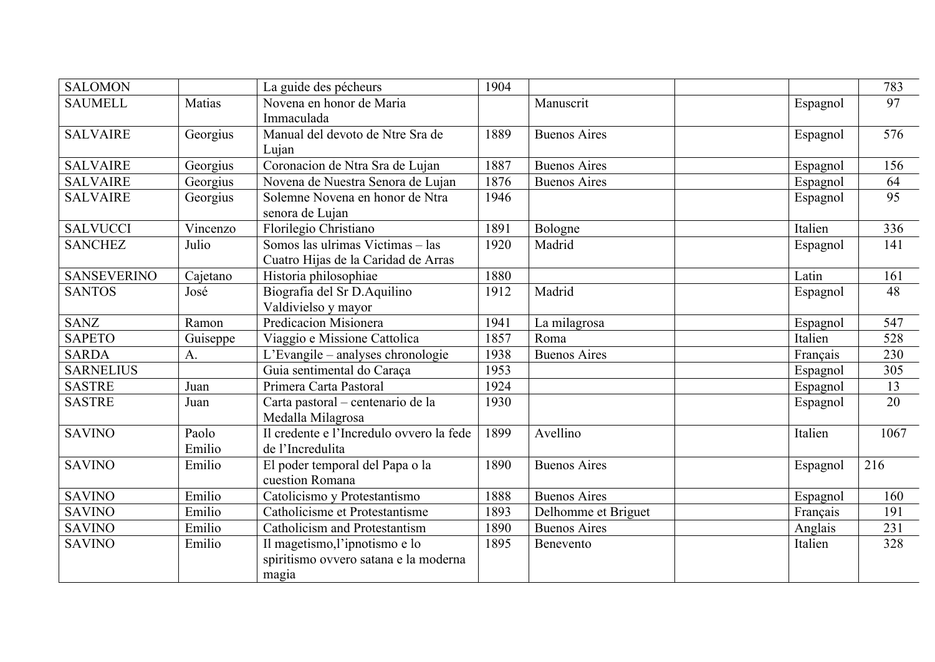| <b>SALOMON</b>     |                 | La guide des pécheurs                                                            | 1904 |                     |          | 783             |
|--------------------|-----------------|----------------------------------------------------------------------------------|------|---------------------|----------|-----------------|
| <b>SAUMELL</b>     | Matias          | Novena en honor de Maria<br>Immaculada                                           |      | Manuscrit           | Espagnol | $\overline{97}$ |
| <b>SALVAIRE</b>    | Georgius        | Manual del devoto de Ntre Sra de<br>Lujan                                        | 1889 | <b>Buenos Aires</b> | Espagnol | 576             |
| <b>SALVAIRE</b>    | Georgius        | Coronacion de Ntra Sra de Lujan                                                  | 1887 | <b>Buenos Aires</b> | Espagnol | 156             |
| <b>SALVAIRE</b>    | Georgius        | Novena de Nuestra Senora de Lujan                                                | 1876 | <b>Buenos Aires</b> | Espagnol | 64              |
| <b>SALVAIRE</b>    | Georgius        | Solemne Novena en honor de Ntra<br>senora de Lujan                               | 1946 |                     | Espagnol | $\overline{95}$ |
| <b>SALVUCCI</b>    | Vincenzo        | Florilegio Christiano                                                            | 1891 | Bologne             | Italien  | 336             |
| <b>SANCHEZ</b>     | Julio           | Somos las ulrimas Victimas - las<br>Cuatro Hijas de la Caridad de Arras          | 1920 | Madrid              | Espagnol | 141             |
| <b>SANSEVERINO</b> | Cajetano        | Historia philosophiae                                                            | 1880 |                     | Latin    | 161             |
| <b>SANTOS</b>      | José            | Biografia del Sr D. Aquilino<br>Valdivielso y mayor                              | 1912 | Madrid              | Espagnol | 48              |
| <b>SANZ</b>        | Ramon           | <b>Predicacion Misionera</b>                                                     | 1941 | La milagrosa        | Espagnol | 547             |
| <b>SAPETO</b>      | Guiseppe        | Viaggio e Missione Cattolica                                                     | 1857 | Roma                | Italien  | 528             |
| <b>SARDA</b>       | A.              | L'Evangile – analyses chronologie                                                | 1938 | <b>Buenos Aires</b> | Français | 230             |
| <b>SARNELIUS</b>   |                 | Guia sentimental do Caraça                                                       | 1953 |                     | Espagnol | 305             |
| <b>SASTRE</b>      | Juan            | Primera Carta Pastoral                                                           | 1924 |                     | Espagnol | 13              |
| <b>SASTRE</b>      | Juan            | Carta pastoral - centenario de la<br>Medalla Milagrosa                           | 1930 |                     | Espagnol | 20              |
| <b>SAVINO</b>      | Paolo<br>Emilio | Il credente e l'Incredulo ovvero la fede<br>de l'Incredulita                     | 1899 | Avellino            | Italien  | 1067            |
| <b>SAVINO</b>      | Emilio          | El poder temporal del Papa o la<br>cuestion Romana                               | 1890 | <b>Buenos Aires</b> | Espagnol | 216             |
| <b>SAVINO</b>      | Emilio          | Catolicismo y Protestantismo                                                     | 1888 | <b>Buenos Aires</b> | Espagnol | 160             |
| <b>SAVINO</b>      | Emilio          | Catholicisme et Protestantisme                                                   | 1893 | Delhomme et Briguet | Français | 191             |
| <b>SAVINO</b>      | Emilio          | Catholicism and Protestantism                                                    | 1890 | <b>Buenos Aires</b> | Anglais  | 231             |
| <b>SAVINO</b>      | Emilio          | Il magetismo, l'ipnotismo e lo<br>spiritismo ovvero satana e la moderna<br>magia | 1895 | Benevento           | Italien  | 328             |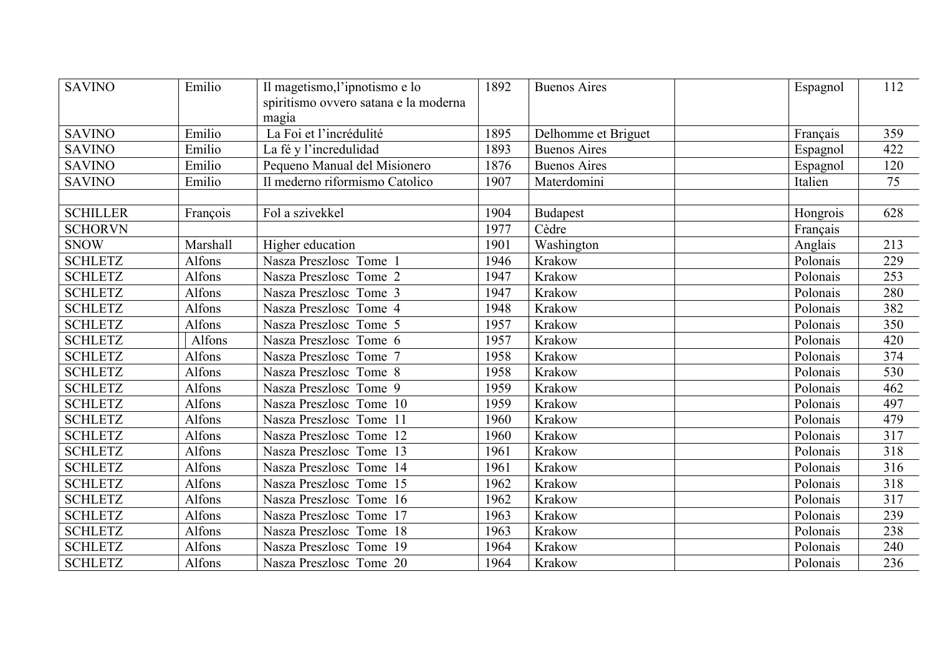| <b>SAVINO</b>   | Emilio   | Il magetismo, l'ipnotismo e lo<br>spiritismo ovvero satana e la moderna<br>magia | 1892 | <b>Buenos Aires</b> | Espagnol | 112 |
|-----------------|----------|----------------------------------------------------------------------------------|------|---------------------|----------|-----|
| <b>SAVINO</b>   | Emilio   | La Foi et l'incrédulité                                                          | 1895 | Delhomme et Briguet | Français | 359 |
| <b>SAVINO</b>   | Emilio   | La fé y l'incredulidad                                                           | 1893 | <b>Buenos Aires</b> | Espagnol | 422 |
| <b>SAVINO</b>   | Emilio   | Pequeno Manual del Misionero                                                     | 1876 | <b>Buenos Aires</b> | Espagnol | 120 |
| <b>SAVINO</b>   | Emilio   | Il mederno riformismo Catolico                                                   | 1907 | Materdomini         | Italien  | 75  |
|                 |          |                                                                                  |      |                     |          |     |
| <b>SCHILLER</b> | François | Fol a szivekkel                                                                  | 1904 | <b>Budapest</b>     | Hongrois | 628 |
| <b>SCHORVN</b>  |          |                                                                                  | 1977 | Cèdre               | Français |     |
| <b>SNOW</b>     | Marshall | Higher education                                                                 | 1901 | Washington          | Anglais  | 213 |
| <b>SCHLETZ</b>  | Alfons   | Nasza Preszlosc Tome 1                                                           | 1946 | Krakow              | Polonais | 229 |
| <b>SCHLETZ</b>  | Alfons   | Nasza Preszlosc Tome 2                                                           | 1947 | Krakow              | Polonais | 253 |
| <b>SCHLETZ</b>  | Alfons   | Nasza Preszlosc Tome 3                                                           | 1947 | Krakow              | Polonais | 280 |
| <b>SCHLETZ</b>  | Alfons   | Nasza Preszlosc Tome 4                                                           | 1948 | Krakow              | Polonais | 382 |
| <b>SCHLETZ</b>  | Alfons   | Nasza Preszlosc Tome 5                                                           | 1957 | Krakow              | Polonais | 350 |
| <b>SCHLETZ</b>  | Alfons   | Nasza Preszlosc Tome 6                                                           | 1957 | Krakow              | Polonais | 420 |
| <b>SCHLETZ</b>  | Alfons   | Nasza Preszlosc Tome 7                                                           | 1958 | Krakow              | Polonais | 374 |
| <b>SCHLETZ</b>  | Alfons   | Nasza Preszlosc Tome 8                                                           | 1958 | Krakow              | Polonais | 530 |
| <b>SCHLETZ</b>  | Alfons   | Nasza Preszlosc Tome 9                                                           | 1959 | Krakow              | Polonais | 462 |
| <b>SCHLETZ</b>  | Alfons   | Nasza Preszlosc Tome 10                                                          | 1959 | Krakow              | Polonais | 497 |
| <b>SCHLETZ</b>  | Alfons   | Nasza Preszlosc Tome 11                                                          | 1960 | Krakow              | Polonais | 479 |
| <b>SCHLETZ</b>  | Alfons   | Nasza Preszlosc Tome 12                                                          | 1960 | Krakow              | Polonais | 317 |
| <b>SCHLETZ</b>  | Alfons   | Nasza Preszlosc Tome 13                                                          | 1961 | Krakow              | Polonais | 318 |
| <b>SCHLETZ</b>  | Alfons   | Nasza Preszlosc Tome 14                                                          | 1961 | Krakow              | Polonais | 316 |
| <b>SCHLETZ</b>  | Alfons   | Nasza Preszlosc Tome 15                                                          | 1962 | Krakow              | Polonais | 318 |
| <b>SCHLETZ</b>  | Alfons   | Nasza Preszlosc Tome 16                                                          | 1962 | Krakow              | Polonais | 317 |
| <b>SCHLETZ</b>  | Alfons   | Nasza Preszlosc Tome 17                                                          | 1963 | Krakow              | Polonais | 239 |
| <b>SCHLETZ</b>  | Alfons   | Nasza Preszlosc Tome 18                                                          | 1963 | Krakow              | Polonais | 238 |
| <b>SCHLETZ</b>  | Alfons   | Nasza Preszlosc Tome 19                                                          | 1964 | Krakow              | Polonais | 240 |
| <b>SCHLETZ</b>  | Alfons   | Nasza Preszlosc Tome 20                                                          | 1964 | Krakow              | Polonais | 236 |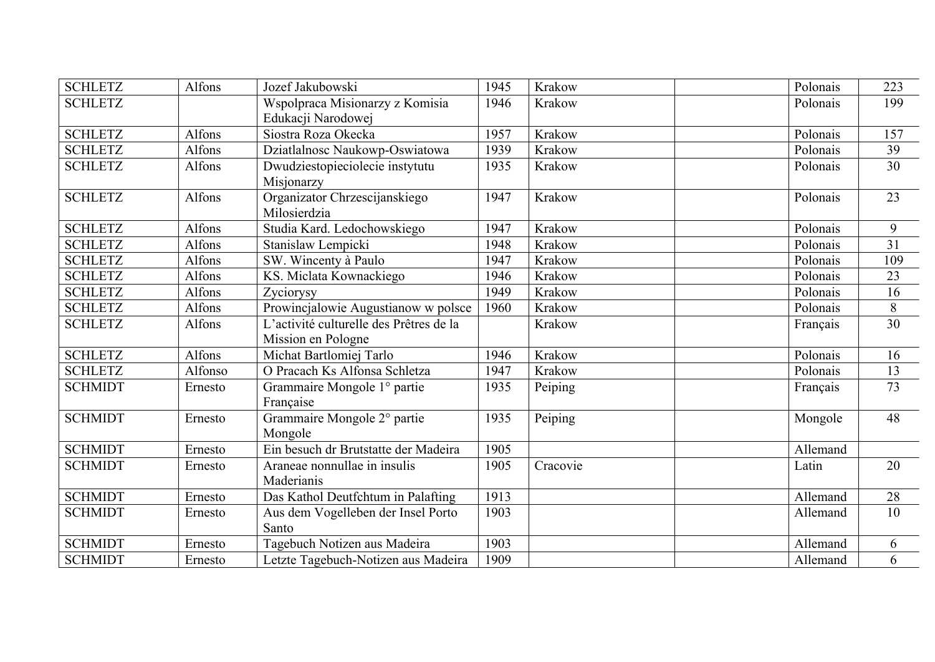| <b>SCHLETZ</b> | Alfons        | Jozef Jakubowski                                              | 1945 | Krakow   | Polonais | 223             |
|----------------|---------------|---------------------------------------------------------------|------|----------|----------|-----------------|
| <b>SCHLETZ</b> |               | Wspolpraca Misionarzy z Komisia<br>Edukacji Narodowej         | 1946 | Krakow   | Polonais | 199             |
| <b>SCHLETZ</b> | Alfons        | Siostra Roza Okecka                                           | 1957 | Krakow   | Polonais | 157             |
| <b>SCHLETZ</b> | Alfons        | Dziatlalnosc Naukowp-Oswiatowa                                | 1939 | Krakow   | Polonais | 39              |
| <b>SCHLETZ</b> | Alfons        | Dwudziestopieciolecie instytutu<br>Misjonarzy                 | 1935 | Krakow   | Polonais | $\overline{30}$ |
| <b>SCHLETZ</b> | Alfons        | Organizator Chrzescijanskiego<br>Milosierdzia                 | 1947 | Krakow   | Polonais | 23              |
| <b>SCHLETZ</b> | Alfons        | Studia Kard. Ledochowskiego                                   | 1947 | Krakow   | Polonais | 9               |
| <b>SCHLETZ</b> | Alfons        | Stanislaw Lempicki                                            | 1948 | Krakow   | Polonais | 31              |
| <b>SCHLETZ</b> | Alfons        | SW. Wincenty à Paulo                                          | 1947 | Krakow   | Polonais | 109             |
| <b>SCHLETZ</b> | Alfons        | KS. Miclata Kownackiego                                       | 1946 | Krakow   | Polonais | 23              |
| <b>SCHLETZ</b> | Alfons        | Zyciorysy                                                     | 1949 | Krakow   | Polonais | 16              |
| <b>SCHLETZ</b> | Alfons        | Prowincjalowie Augustianow w polsce                           | 1960 | Krakow   | Polonais | $8\,$           |
| <b>SCHLETZ</b> | <b>Alfons</b> | L'activité culturelle des Prêtres de la<br>Mission en Pologne |      | Krakow   | Français | $\overline{30}$ |
| <b>SCHLETZ</b> | Alfons        | Michat Bartlomiej Tarlo                                       | 1946 | Krakow   | Polonais | 16              |
| <b>SCHLETZ</b> | Alfonso       | O Pracach Ks Alfonsa Schletza                                 | 1947 | Krakow   | Polonais | 13              |
| <b>SCHMIDT</b> | Ernesto       | Grammaire Mongole 1° partie<br>Française                      | 1935 | Peiping  | Français | 73              |
| <b>SCHMIDT</b> | Ernesto       | Grammaire Mongole 2° partie<br>Mongole                        | 1935 | Peiping  | Mongole  | 48              |
| <b>SCHMIDT</b> | Ernesto       | Ein besuch dr Brutstatte der Madeira                          | 1905 |          | Allemand |                 |
| <b>SCHMIDT</b> | Ernesto       | Araneae nonnullae in insulis<br>Maderianis                    | 1905 | Cracovie | Latin    | 20              |
| <b>SCHMIDT</b> | Ernesto       | Das Kathol Deutfchtum in Palafting                            | 1913 |          | Allemand | 28              |
| <b>SCHMIDT</b> | Ernesto       | Aus dem Vogelleben der Insel Porto<br>Santo                   | 1903 |          | Allemand | 10              |
| <b>SCHMIDT</b> | Ernesto       | Tagebuch Notizen aus Madeira                                  | 1903 |          | Allemand | 6               |
| <b>SCHMIDT</b> | Ernesto       | Letzte Tagebuch-Notizen aus Madeira                           | 1909 |          | Allemand | 6               |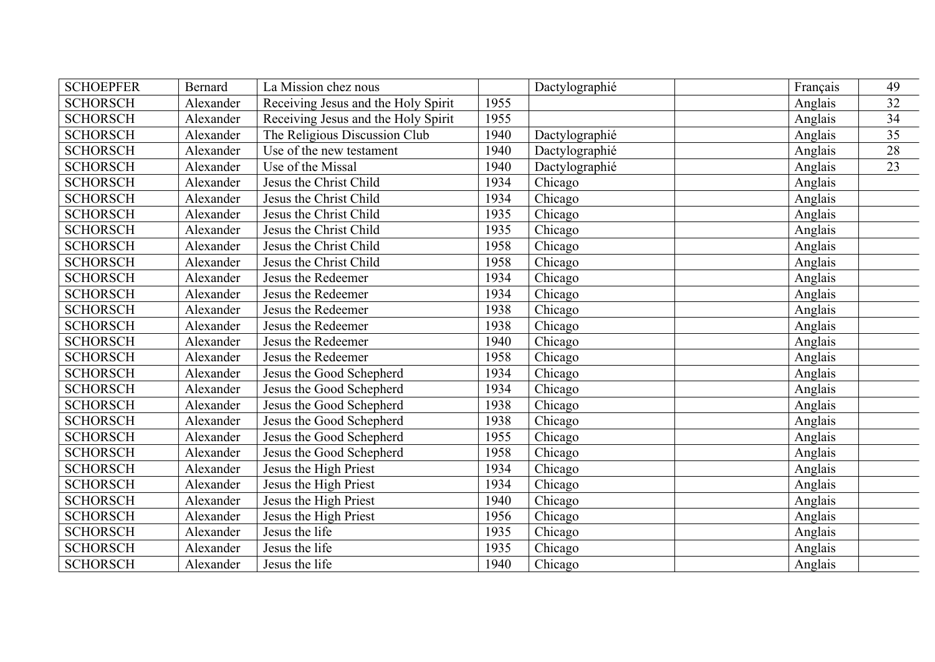| <b>SCHOEPFER</b> | <b>Bernard</b> | La Mission chez nous                |      | Dactylographié | Français | 49 |
|------------------|----------------|-------------------------------------|------|----------------|----------|----|
| <b>SCHORSCH</b>  | Alexander      | Receiving Jesus and the Holy Spirit | 1955 |                | Anglais  | 32 |
| <b>SCHORSCH</b>  | Alexander      | Receiving Jesus and the Holy Spirit | 1955 |                | Anglais  | 34 |
| <b>SCHORSCH</b>  | Alexander      | The Religious Discussion Club       | 1940 | Dactylographié | Anglais  | 35 |
| <b>SCHORSCH</b>  | Alexander      | Use of the new testament            | 1940 | Dactylographié | Anglais  | 28 |
| <b>SCHORSCH</b>  | Alexander      | Use of the Missal                   | 1940 | Dactylographié | Anglais  | 23 |
| <b>SCHORSCH</b>  | Alexander      | Jesus the Christ Child              | 1934 | Chicago        | Anglais  |    |
| <b>SCHORSCH</b>  | Alexander      | Jesus the Christ Child              | 1934 | Chicago        | Anglais  |    |
| <b>SCHORSCH</b>  | Alexander      | Jesus the Christ Child              | 1935 | Chicago        | Anglais  |    |
| <b>SCHORSCH</b>  | Alexander      | Jesus the Christ Child              | 1935 | Chicago        | Anglais  |    |
| <b>SCHORSCH</b>  | Alexander      | Jesus the Christ Child              | 1958 | Chicago        | Anglais  |    |
| <b>SCHORSCH</b>  | Alexander      | Jesus the Christ Child              | 1958 | Chicago        | Anglais  |    |
| <b>SCHORSCH</b>  | Alexander      | Jesus the Redeemer                  | 1934 | Chicago        | Anglais  |    |
| <b>SCHORSCH</b>  | Alexander      | Jesus the Redeemer                  | 1934 | Chicago        | Anglais  |    |
| <b>SCHORSCH</b>  | Alexander      | Jesus the Redeemer                  | 1938 | Chicago        | Anglais  |    |
| <b>SCHORSCH</b>  | Alexander      | Jesus the Redeemer                  | 1938 | Chicago        | Anglais  |    |
| <b>SCHORSCH</b>  | Alexander      | Jesus the Redeemer                  | 1940 | Chicago        | Anglais  |    |
| <b>SCHORSCH</b>  | Alexander      | Jesus the Redeemer                  | 1958 | Chicago        | Anglais  |    |
| <b>SCHORSCH</b>  | Alexander      | Jesus the Good Schepherd            | 1934 | Chicago        | Anglais  |    |
| <b>SCHORSCH</b>  | Alexander      | Jesus the Good Schepherd            | 1934 | Chicago        | Anglais  |    |
| <b>SCHORSCH</b>  | Alexander      | Jesus the Good Schepherd            | 1938 | Chicago        | Anglais  |    |
| <b>SCHORSCH</b>  | Alexander      | Jesus the Good Schepherd            | 1938 | Chicago        | Anglais  |    |
| <b>SCHORSCH</b>  | Alexander      | Jesus the Good Schepherd            | 1955 | Chicago        | Anglais  |    |
| <b>SCHORSCH</b>  | Alexander      | Jesus the Good Schepherd            | 1958 | Chicago        | Anglais  |    |
| <b>SCHORSCH</b>  | Alexander      | Jesus the High Priest               | 1934 | Chicago        | Anglais  |    |
| <b>SCHORSCH</b>  | Alexander      | Jesus the High Priest               | 1934 | Chicago        | Anglais  |    |
| <b>SCHORSCH</b>  | Alexander      | Jesus the High Priest               | 1940 | Chicago        | Anglais  |    |
| <b>SCHORSCH</b>  | Alexander      | Jesus the High Priest               | 1956 | Chicago        | Anglais  |    |
| <b>SCHORSCH</b>  | Alexander      | Jesus the life                      | 1935 | Chicago        | Anglais  |    |
| <b>SCHORSCH</b>  | Alexander      | Jesus the life                      | 1935 | Chicago        | Anglais  |    |
| <b>SCHORSCH</b>  | Alexander      | Jesus the life                      | 1940 | Chicago        | Anglais  |    |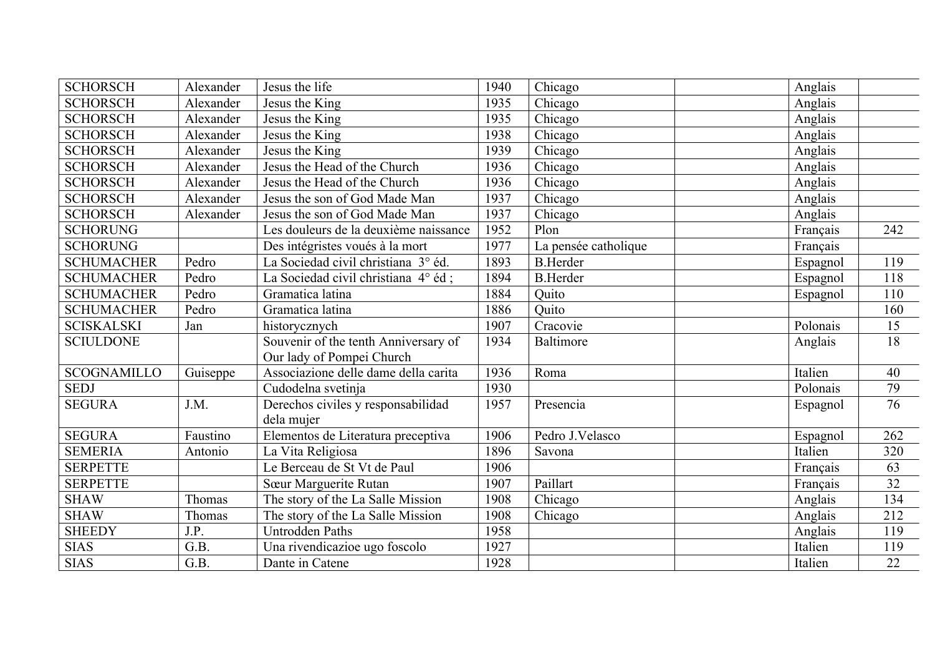| <b>SCHORSCH</b>    | Alexander | Jesus the life                        | 1940 | Chicago              | Anglais  |                 |
|--------------------|-----------|---------------------------------------|------|----------------------|----------|-----------------|
| <b>SCHORSCH</b>    | Alexander | Jesus the King                        | 1935 | Chicago              | Anglais  |                 |
| <b>SCHORSCH</b>    | Alexander | Jesus the King                        | 1935 | Chicago              | Anglais  |                 |
| <b>SCHORSCH</b>    | Alexander | Jesus the King                        | 1938 | Chicago              | Anglais  |                 |
| <b>SCHORSCH</b>    | Alexander | Jesus the King                        | 1939 | Chicago              | Anglais  |                 |
| <b>SCHORSCH</b>    | Alexander | Jesus the Head of the Church          | 1936 | Chicago              | Anglais  |                 |
| <b>SCHORSCH</b>    | Alexander | Jesus the Head of the Church          | 1936 | Chicago              | Anglais  |                 |
| <b>SCHORSCH</b>    | Alexander | Jesus the son of God Made Man         | 1937 | Chicago              | Anglais  |                 |
| <b>SCHORSCH</b>    | Alexander | Jesus the son of God Made Man         | 1937 | Chicago              | Anglais  |                 |
| <b>SCHORUNG</b>    |           | Les douleurs de la deuxième naissance | 1952 | Plon                 | Français | 242             |
| <b>SCHORUNG</b>    |           | Des intégristes voués à la mort       | 1977 | La pensée catholique | Français |                 |
| <b>SCHUMACHER</b>  | Pedro     | La Sociedad civil christiana 3° éd.   | 1893 | <b>B.Herder</b>      | Espagnol | 119             |
| <b>SCHUMACHER</b>  | Pedro     | La Sociedad civil christiana 4° éd ;  | 1894 | <b>B.Herder</b>      | Espagnol | 118             |
| <b>SCHUMACHER</b>  | Pedro     | Gramatica latina                      | 1884 | Quito                | Espagnol | 110             |
| <b>SCHUMACHER</b>  | Pedro     | Gramatica latina                      | 1886 | Quito                |          | 160             |
| <b>SCISKALSKI</b>  | Jan       | historycznych                         | 1907 | Cracovie             | Polonais | 15              |
| <b>SCIULDONE</b>   |           | Souvenir of the tenth Anniversary of  | 1934 | <b>Baltimore</b>     | Anglais  | 18              |
|                    |           | Our lady of Pompei Church             |      |                      |          |                 |
| <b>SCOGNAMILLO</b> | Guiseppe  | Associazione delle dame della carita  | 1936 | Roma                 | Italien  | 40              |
| <b>SEDJ</b>        |           | Cudodelna svetinja                    | 1930 |                      | Polonais | 79              |
| <b>SEGURA</b>      | J.M.      | Derechos civiles y responsabilidad    | 1957 | Presencia            | Espagnol | 76              |
|                    |           | dela mujer                            |      |                      |          |                 |
| <b>SEGURA</b>      | Faustino  | Elementos de Literatura preceptiva    | 1906 | Pedro J.Velasco      | Espagnol | 262             |
| <b>SEMERIA</b>     | Antonio   | La Vita Religiosa                     | 1896 | Savona               | Italien  | 320             |
| <b>SERPETTE</b>    |           | Le Berceau de St Vt de Paul           | 1906 |                      | Français | 63              |
| <b>SERPETTE</b>    |           | Sœur Marguerite Rutan                 | 1907 | Paillart             | Français | $\overline{32}$ |
| <b>SHAW</b>        | Thomas    | The story of the La Salle Mission     | 1908 | Chicago              | Anglais  | 134             |
| <b>SHAW</b>        | Thomas    | The story of the La Salle Mission     | 1908 | Chicago              | Anglais  | 212             |
| <b>SHEEDY</b>      | J.P.      | <b>Untrodden Paths</b>                | 1958 |                      | Anglais  | 119             |
| <b>SIAS</b>        | G.B.      | Una rivendicazioe ugo foscolo         | 1927 |                      | Italien  | 119             |
| <b>SIAS</b>        | G.B.      | Dante in Catene                       | 1928 |                      | Italien  | $\overline{22}$ |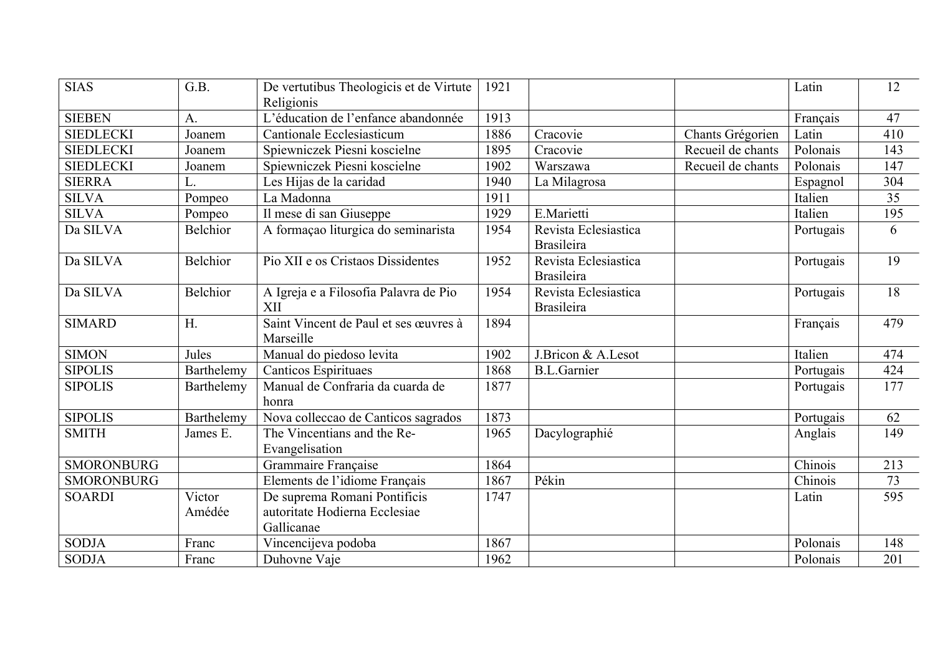| <b>SIAS</b>       | G.B.             | De vertutibus Theologicis et de Virtute<br>Religionis                       | 1921 |                                           |                   | Latin     | 12  |
|-------------------|------------------|-----------------------------------------------------------------------------|------|-------------------------------------------|-------------------|-----------|-----|
| <b>SIEBEN</b>     | $\mathbf{A}$ .   | L'éducation de l'enfance abandonnée                                         | 1913 |                                           |                   | Français  | 47  |
| <b>SIEDLECKI</b>  | Joanem           | <b>Cantionale Ecclesiasticum</b>                                            | 1886 | Cracovie                                  | Chants Grégorien  | Latin     | 410 |
| <b>SIEDLECKI</b>  | Joanem           | Spiewniczek Piesni koscielne                                                | 1895 | Cracovie                                  | Recueil de chants | Polonais  | 143 |
| <b>SIEDLECKI</b>  | Joanem           | Spiewniczek Piesni koscielne                                                | 1902 | Warszawa                                  | Recueil de chants | Polonais  | 147 |
| <b>SIERRA</b>     | L.               | Les Hijas de la caridad                                                     | 1940 | La Milagrosa                              |                   | Espagnol  | 304 |
| <b>SILVA</b>      | Pompeo           | La Madonna                                                                  | 1911 |                                           |                   | Italien   | 35  |
| <b>SILVA</b>      | Pompeo           | Il mese di san Giuseppe                                                     | 1929 | E.Marietti                                |                   | Italien   | 195 |
| Da SILVA          | <b>Belchior</b>  | A formação liturgica do seminarista                                         | 1954 | Revista Eclesiastica<br><b>Brasileira</b> |                   | Portugais | 6   |
| Da SILVA          | <b>Belchior</b>  | Pio XII e os Cristaos Dissidentes                                           | 1952 | Revista Eclesiastica<br><b>Brasileira</b> |                   | Portugais | 19  |
| Da SILVA          | <b>Belchior</b>  | A Igreja e a Filosofia Palavra de Pio<br>XII                                | 1954 | Revista Eclesiastica<br><b>Brasileira</b> |                   | Portugais | 18  |
| <b>SIMARD</b>     | H <sub>1</sub>   | Saint Vincent de Paul et ses œuvres à<br>Marseille                          | 1894 |                                           |                   | Français  | 479 |
| <b>SIMON</b>      | Jules            | Manual do piedoso levita                                                    | 1902 | J.Bricon & A.Lesot                        |                   | Italien   | 474 |
| <b>SIPOLIS</b>    | Barthelemy       | Canticos Espirituaes                                                        | 1868 | <b>B.L.Garnier</b>                        |                   | Portugais | 424 |
| <b>SIPOLIS</b>    | Barthelemy       | Manual de Confraria da cuarda de<br>honra                                   | 1877 |                                           |                   | Portugais | 177 |
| <b>SIPOLIS</b>    | Barthelemy       | Nova colleccao de Canticos sagrados                                         | 1873 |                                           |                   | Portugais | 62  |
| <b>SMITH</b>      | James E.         | The Vincentians and the Re-<br>Evangelisation                               | 1965 | Dacylographié                             |                   | Anglais   | 149 |
| <b>SMORONBURG</b> |                  | Grammaire Française                                                         | 1864 |                                           |                   | Chinois   | 213 |
| <b>SMORONBURG</b> |                  | Elements de l'idiome Français                                               | 1867 | Pékin                                     |                   | Chinois   | 73  |
| <b>SOARDI</b>     | Victor<br>Amédée | De suprema Romani Pontificis<br>autoritate Hodierna Ecclesiae<br>Gallicanae | 1747 |                                           |                   | Latin     | 595 |
| <b>SODJA</b>      | Franc            | Vincencijeva podoba                                                         | 1867 |                                           |                   | Polonais  | 148 |
| <b>SODJA</b>      | Franc            | Duhovne Vaje                                                                | 1962 |                                           |                   | Polonais  | 201 |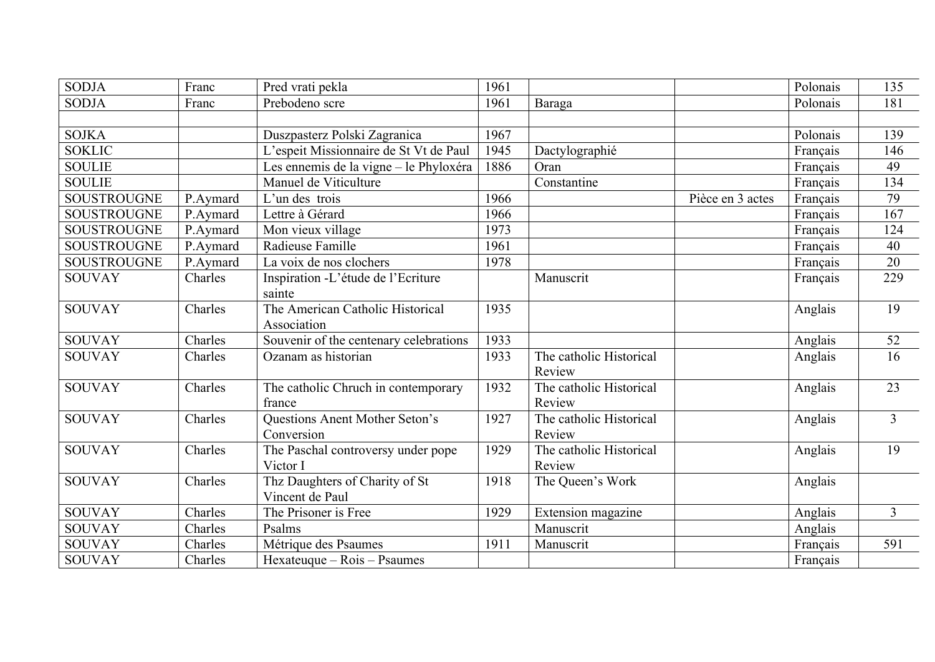| <b>SODJA</b>       | Franc    | Pred vrati pekla                       | 1961 |                         |                  | Polonais | 135            |
|--------------------|----------|----------------------------------------|------|-------------------------|------------------|----------|----------------|
| <b>SODJA</b>       | Franc    | Prebodeno scre                         | 1961 | Baraga                  |                  | Polonais | 181            |
|                    |          |                                        |      |                         |                  |          |                |
| <b>SOJKA</b>       |          | Duszpasterz Polski Zagranica           | 1967 |                         |                  | Polonais | 139            |
| <b>SOKLIC</b>      |          | L'espeit Missionnaire de St Vt de Paul | 1945 | Dactylographié          |                  | Français | 146            |
| <b>SOULIE</b>      |          | Les ennemis de la vigne – le Phyloxéra | 1886 | Oran                    |                  | Français | 49             |
| <b>SOULIE</b>      |          | Manuel de Viticulture                  |      | Constantine             |                  | Français | 134            |
| <b>SOUSTROUGNE</b> | P.Aymard | L'un des trois                         | 1966 |                         | Pièce en 3 actes | Français | 79             |
| SOUSTROUGNE        | P.Aymard | Lettre à Gérard                        | 1966 |                         |                  | Français | 167            |
| <b>SOUSTROUGNE</b> | P.Aymard | Mon vieux village                      | 1973 |                         |                  | Français | 124            |
| <b>SOUSTROUGNE</b> | P.Aymard | Radieuse Famille                       | 1961 |                         |                  | Français | 40             |
| <b>SOUSTROUGNE</b> | P.Aymard | La voix de nos clochers                | 1978 |                         |                  | Français | 20             |
| <b>SOUVAY</b>      | Charles  | Inspiration -L'étude de l'Ecriture     |      | Manuscrit               |                  | Français | 229            |
|                    |          | sainte                                 |      |                         |                  |          |                |
| <b>SOUVAY</b>      | Charles  | The American Catholic Historical       | 1935 |                         |                  | Anglais  | 19             |
|                    |          | Association                            |      |                         |                  |          |                |
| <b>SOUVAY</b>      | Charles  | Souvenir of the centenary celebrations | 1933 |                         |                  | Anglais  | 52             |
| <b>SOUVAY</b>      | Charles  | Ozanam as historian                    | 1933 | The catholic Historical |                  | Anglais  | 16             |
|                    |          |                                        |      | Review                  |                  |          |                |
| <b>SOUVAY</b>      | Charles  | The catholic Chruch in contemporary    | 1932 | The catholic Historical |                  | Anglais  | 23             |
|                    |          | france                                 |      | Review                  |                  |          |                |
| <b>SOUVAY</b>      | Charles  | Questions Anent Mother Seton's         | 1927 | The catholic Historical |                  | Anglais  | $\overline{3}$ |
|                    |          | Conversion                             |      | Review                  |                  |          |                |
| <b>SOUVAY</b>      | Charles  | The Paschal controversy under pope     | 1929 | The catholic Historical |                  | Anglais  | 19             |
|                    |          | Victor I                               |      | Review                  |                  |          |                |
| <b>SOUVAY</b>      | Charles  | Thz Daughters of Charity of St         | 1918 | The Queen's Work        |                  | Anglais  |                |
|                    |          | Vincent de Paul                        |      |                         |                  |          |                |
| <b>SOUVAY</b>      | Charles  | The Prisoner is Free                   | 1929 | Extension magazine      |                  | Anglais  | $\overline{3}$ |
| <b>SOUVAY</b>      | Charles  | Psalms                                 |      | Manuscrit               |                  | Anglais  |                |
| <b>SOUVAY</b>      | Charles  | Métrique des Psaumes                   | 1911 | Manuscrit               |                  | Français | 591            |
| <b>SOUVAY</b>      | Charles  | Hexateuque – Rois – Psaumes            |      |                         |                  | Français |                |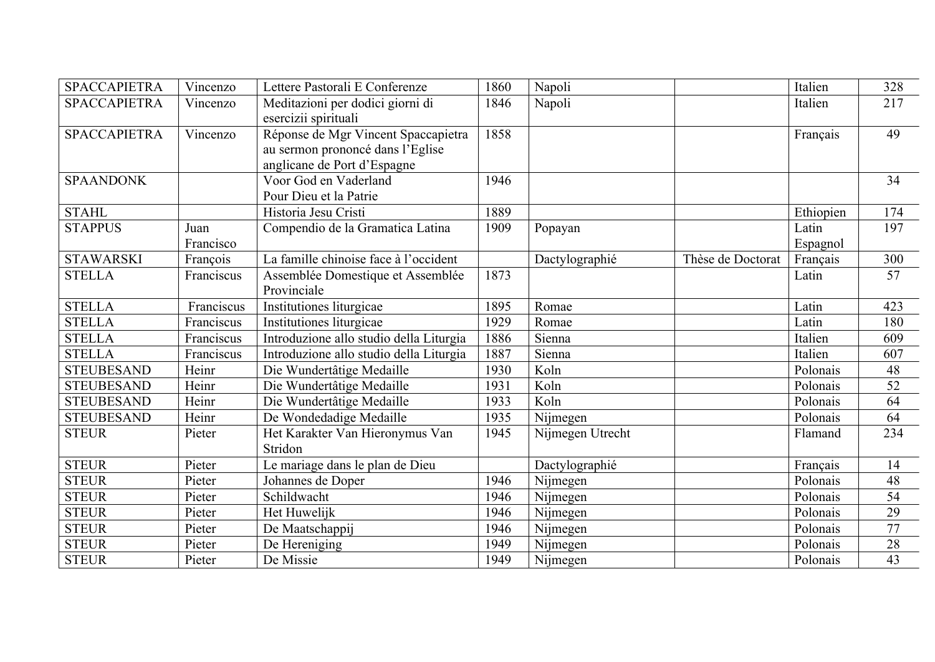| <b>SPACCAPIETRA</b> | Vincenzo   | Lettere Pastorali E Conferenze          | 1860 | Napoli           |                   | Italien   | 328             |
|---------------------|------------|-----------------------------------------|------|------------------|-------------------|-----------|-----------------|
| <b>SPACCAPIETRA</b> | Vincenzo   | Meditazioni per dodici giorni di        | 1846 | Napoli           |                   | Italien   | 217             |
|                     |            | esercizii spirituali                    |      |                  |                   |           |                 |
| <b>SPACCAPIETRA</b> | Vincenzo   | Réponse de Mgr Vincent Spaccapietra     | 1858 |                  |                   | Français  | 49              |
|                     |            | au sermon prononcé dans l'Eglise        |      |                  |                   |           |                 |
|                     |            | anglicane de Port d'Espagne             |      |                  |                   |           |                 |
| <b>SPAANDONK</b>    |            | Voor God en Vaderland                   | 1946 |                  |                   |           | 34              |
|                     |            | Pour Dieu et la Patrie                  |      |                  |                   |           |                 |
| <b>STAHL</b>        |            | Historia Jesu Cristi                    | 1889 |                  |                   | Ethiopien | 174             |
| <b>STAPPUS</b>      | Juan       | Compendio de la Gramatica Latina        | 1909 | Popayan          |                   | Latin     | 197             |
|                     | Francisco  |                                         |      |                  |                   | Espagnol  |                 |
| <b>STAWARSKI</b>    | François   | La famille chinoise face à l'occident   |      | Dactylographié   | Thèse de Doctorat | Français  | 300             |
| <b>STELLA</b>       | Franciscus | Assemblée Domestique et Assemblée       | 1873 |                  |                   | Latin     | 57              |
|                     |            | Provinciale                             |      |                  |                   |           |                 |
| <b>STELLA</b>       | Franciscus | Institutiones liturgicae                | 1895 | Romae            |                   | Latin     | 423             |
| <b>STELLA</b>       | Franciscus | Institutiones liturgicae                | 1929 | Romae            |                   | Latin     | 180             |
| <b>STELLA</b>       | Franciscus | Introduzione allo studio della Liturgia | 1886 | Sienna           |                   | Italien   | 609             |
| <b>STELLA</b>       | Franciscus | Introduzione allo studio della Liturgia | 1887 | Sienna           |                   | Italien   | 607             |
| <b>STEUBESAND</b>   | Heinr      | Die Wundertâtige Medaille               | 1930 | Koln             |                   | Polonais  | 48              |
| <b>STEUBESAND</b>   | Heinr      | Die Wundertâtige Medaille               | 1931 | Koln             |                   | Polonais  | 52              |
| <b>STEUBESAND</b>   | Heinr      | Die Wundertâtige Medaille               | 1933 | Koln             |                   | Polonais  | 64              |
| <b>STEUBESAND</b>   | Heinr      | De Wondedadige Medaille                 | 1935 | Nijmegen         |                   | Polonais  | 64              |
| <b>STEUR</b>        | Pieter     | Het Karakter Van Hieronymus Van         | 1945 | Nijmegen Utrecht |                   | Flamand   | 234             |
|                     |            | Stridon                                 |      |                  |                   |           |                 |
| <b>STEUR</b>        | Pieter     | Le mariage dans le plan de Dieu         |      | Dactylographié   |                   | Français  | 14              |
| <b>STEUR</b>        | Pieter     | Johannes de Doper                       | 1946 | Nijmegen         |                   | Polonais  | 48              |
| <b>STEUR</b>        | Pieter     | Schildwacht                             | 1946 | Nijmegen         |                   | Polonais  | 54              |
| <b>STEUR</b>        | Pieter     | Het Huwelijk                            | 1946 | Nijmegen         |                   | Polonais  | 29              |
| <b>STEUR</b>        | Pieter     | De Maatschappij                         | 1946 | Nijmegen         |                   | Polonais  | 77              |
| <b>STEUR</b>        | Pieter     | De Hereniging                           | 1949 | Nijmegen         |                   | Polonais  | 28              |
| <b>STEUR</b>        | Pieter     | De Missie                               | 1949 | Nijmegen         |                   | Polonais  | $\overline{43}$ |